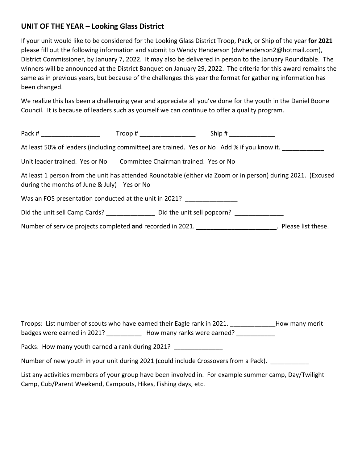## **UNIT OF THE YEAR – Looking Glass District**

If your unit would like to be considered for the Looking Glass District Troop, Pack, or Ship of the year **for 2021** please fill out the following information and submit to Wendy Henderson (dwhenderson2@hotmail.com), District Commissioner, by January 7, 2022. It may also be delivered in person to the January Roundtable. The winners will be announced at the District Banquet on January 29, 2022. The criteria for this award remains the same as in previous years, but because of the challenges this year the format for gathering information has been changed.

We realize this has been a challenging year and appreciate all you've done for the youth in the Daniel Boone Council. It is because of leaders such as yourself we can continue to offer a quality program.

| Pack #                                                               | Trop # |                                                                                                              |  |
|----------------------------------------------------------------------|--------|--------------------------------------------------------------------------------------------------------------|--|
|                                                                      |        | At least 50% of leaders (including committee) are trained. Yes or No Add % if you know it.                   |  |
| Unit leader trained. Yes or No Committee Chairman trained. Yes or No |        |                                                                                                              |  |
| during the months of June & July) Yes or No                          |        | At least 1 person from the unit has attended Roundtable (either via Zoom or in person) during 2021. (Excused |  |
| Was an FOS presentation conducted at the unit in 2021?               |        |                                                                                                              |  |
|                                                                      |        | Did the unit sell Camp Cards? Did the unit sell popcorn?                                                     |  |
|                                                                      |        | Number of service projects completed and recorded in 2021. _________________________. Please list these.     |  |

Troops: List number of scouts who have earned their Eagle rank in 2021. \_\_\_\_\_\_\_\_\_\_\_\_\_How many merit badges were earned in 2021? \_\_\_\_\_\_\_\_\_\_\_\_ How many ranks were earned? \_\_\_\_\_\_\_\_\_\_\_

Packs: How many youth earned a rank during 2021? \_\_\_\_\_\_\_\_\_\_\_\_\_\_\_\_

Number of new youth in your unit during 2021 (could include Crossovers from a Pack).

List any activities members of your group have been involved in. For example summer camp, Day/Twilight Camp, Cub/Parent Weekend, Campouts, Hikes, Fishing days, etc.